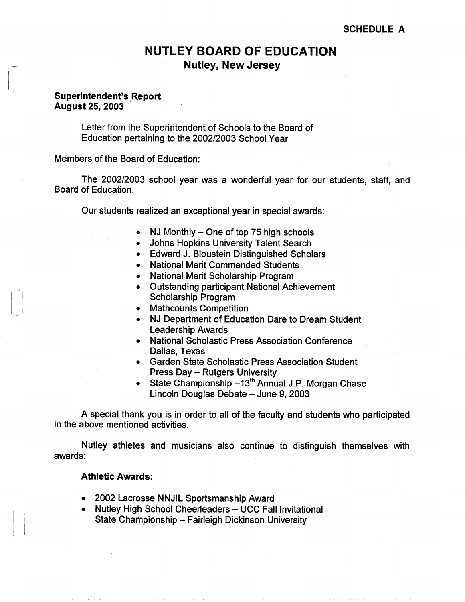# **NUTLEY BOARD OF EDUCATION Nutley, New Jersey**

## **Superintendent's. Report August 25, 2003**

Letter from the Superintendent of Schools to the Board of Education pertaining to the 2002/2003 School Year

Members of the Board of Education:

The 2002/2003 school year was a wonderful year for our students, staff, and Board of Education.

Our students realized an-exceptional year in-special awards:

- NJ Monthly  $-$  One of top 75 high schools
- Johns Hopkins University Talent Search
- Edward J. Bloustein Distinguished Scholars
- National Merit Commended Students
- · National Merit Scholarship Program
- Outstanding participant National Achievement Scholarship Program
- Mathcounts Competition
- NJ Department of Education Dare to Dream Student Leadership Awards
- National Scholastic Press Association Conference Dallas, Texas
- Garden State Scholastic Press Association Student Press Day - Rutgers University
- State Championship  $-13<sup>th</sup>$  Annual J.P. Morgan Chase Lincoln Douglas Debate - June 9, 2003

A special thank you is in order to all of the faculty and students who participated in the above mentioned activities.

Nutley athletes and musicians also continue to distinguish themselves with awards:

#### **Athletic Awards:**

- 2002 Lacrosse NNJIL Sportsmanship Award
- Nutley High School Cheerleaders UCC Fall Invitational State Championship - Fairleigh Dickinson University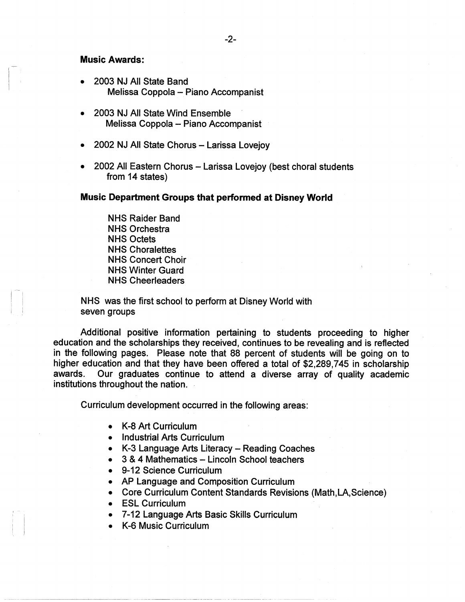### **Music Awards:**

- 2003 NJ All State Band Melissa Coppola - Piano Accompanist
- 2003 NJ All State Wind Ensemble Melissa Coppola - Piano Accompanist
- 2002 NJ All State Chorus Larissa Lovejoy
- 2002 All Eastern Chorus Larissa Lovejoy (best choral students from 14 states)

#### **Music Department Groups that performed at Disney World**

NHS Raider Band NHS Orchestra NHS Octets NHS Choralettes NHS Concert Choir NHS Winter Guard NHS Cheerleaders

NHS was the first school to perform at Disney World with seven groups

Additional positive information pertaining to students proceeding to higher education and the scholarships they received, continues to be revealing and is reflected in the following pages. Please note that 88 percent of students will be going on to higher education and that they have been offered a total of \$2,289,745 in scholarship awards. Our graduates continue to attend a diverse array of quality academic institutions throughout the nation.

Curriculum development occurred in the following areas:

- K-8 Art Curriculum
- Industrial Arts Curriculum
- K-3 Language Arts Literacy Reading Coaches
- 3 & 4 Mathematics Lincoln School teachers
- 9-12 Science Curriculum
- AP Language and Composition Curriculum
- Core Curriculum Content Standards Revisions (Math,LA,Science)
- ESL Curriculum

11 -

- 7-12 Language Arts Basic Skills Curriculum
- K-6 Music Curriculum